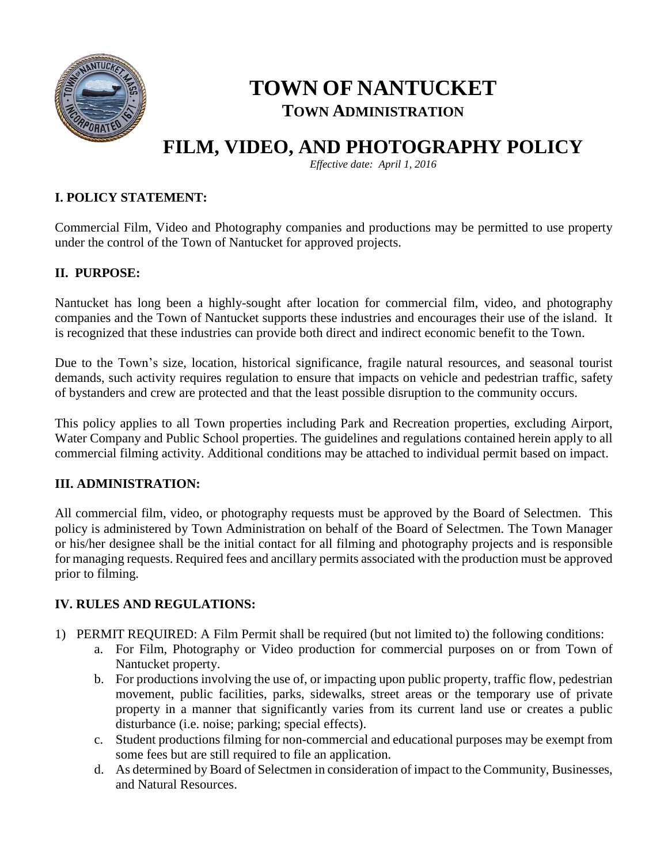

# **TOWN OF NANTUCKET TOWN ADMINISTRATION**

# **FILM, VIDEO, AND PHOTOGRAPHY POLICY**

*Effective date: April 1, 2016*

# **I. POLICY STATEMENT:**

Commercial Film, Video and Photography companies and productions may be permitted to use property under the control of the Town of Nantucket for approved projects.

# **II. PURPOSE:**

Nantucket has long been a highly-sought after location for commercial film, video, and photography companies and the Town of Nantucket supports these industries and encourages their use of the island. It is recognized that these industries can provide both direct and indirect economic benefit to the Town.

Due to the Town's size, location, historical significance, fragile natural resources, and seasonal tourist demands, such activity requires regulation to ensure that impacts on vehicle and pedestrian traffic, safety of bystanders and crew are protected and that the least possible disruption to the community occurs.

This policy applies to all Town properties including Park and Recreation properties, excluding Airport, Water Company and Public School properties. The guidelines and regulations contained herein apply to all commercial filming activity. Additional conditions may be attached to individual permit based on impact.

### **III. ADMINISTRATION:**

All commercial film, video, or photography requests must be approved by the Board of Selectmen. This policy is administered by Town Administration on behalf of the Board of Selectmen. The Town Manager or his/her designee shall be the initial contact for all filming and photography projects and is responsible for managing requests. Required fees and ancillary permits associated with the production must be approved prior to filming.

### **IV. RULES AND REGULATIONS:**

- 1) PERMIT REQUIRED: A Film Permit shall be required (but not limited to) the following conditions:
	- a. For Film, Photography or Video production for commercial purposes on or from Town of Nantucket property.
	- b. For productions involving the use of, or impacting upon public property, traffic flow, pedestrian movement, public facilities, parks, sidewalks, street areas or the temporary use of private property in a manner that significantly varies from its current land use or creates a public disturbance (i.e. noise; parking; special effects).
	- c. Student productions filming for non-commercial and educational purposes may be exempt from some fees but are still required to file an application.
	- d. As determined by Board of Selectmen in consideration of impact to the Community, Businesses, and Natural Resources.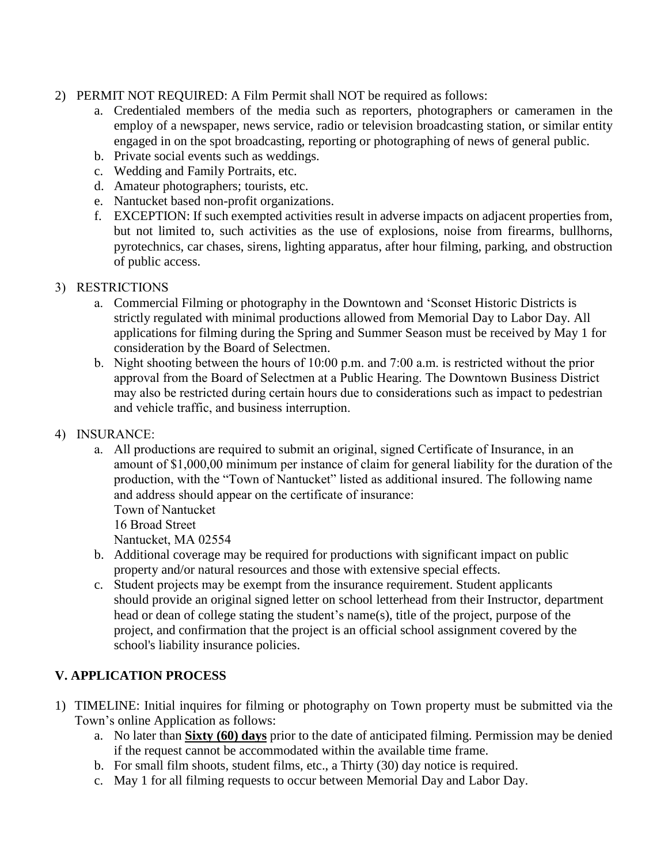## 2) PERMIT NOT REQUIRED: A Film Permit shall NOT be required as follows:

- a. Credentialed members of the media such as reporters, photographers or cameramen in the employ of a newspaper, news service, radio or television broadcasting station, or similar entity engaged in on the spot broadcasting, reporting or photographing of news of general public.
- b. Private social events such as weddings.
- c. Wedding and Family Portraits, etc.
- d. Amateur photographers; tourists, etc.
- e. Nantucket based non-profit organizations.
- f. EXCEPTION: If such exempted activities result in adverse impacts on adjacent properties from, but not limited to, such activities as the use of explosions, noise from firearms, bullhorns, pyrotechnics, car chases, sirens, lighting apparatus, after hour filming, parking, and obstruction of public access.

### 3) RESTRICTIONS

- a. Commercial Filming or photography in the Downtown and 'Sconset Historic Districts is strictly regulated with minimal productions allowed from Memorial Day to Labor Day. All applications for filming during the Spring and Summer Season must be received by May 1 for consideration by the Board of Selectmen.
- b. Night shooting between the hours of 10:00 p.m. and 7:00 a.m. is restricted without the prior approval from the Board of Selectmen at a Public Hearing. The Downtown Business District may also be restricted during certain hours due to considerations such as impact to pedestrian and vehicle traffic, and business interruption.
- 4) INSURANCE:
	- a. All productions are required to submit an original, signed Certificate of Insurance, in an amount of \$1,000,00 minimum per instance of claim for general liability for the duration of the production, with the "Town of Nantucket" listed as additional insured. The following name and address should appear on the certificate of insurance:

Town of Nantucket 16 Broad Street

Nantucket, MA 02554

- b. Additional coverage may be required for productions with significant impact on public property and/or natural resources and those with extensive special effects.
- c. Student projects may be exempt from the insurance requirement. Student applicants should provide an original signed letter on school letterhead from their Instructor, department head or dean of college stating the student's name(s), title of the project, purpose of the project, and confirmation that the project is an official school assignment covered by the school's liability insurance policies.

# **V. APPLICATION PROCESS**

- 1) TIMELINE: Initial inquires for filming or photography on Town property must be submitted via the Town's online Application as follows:
	- a. No later than **Sixty (60) days** prior to the date of anticipated filming. Permission may be denied if the request cannot be accommodated within the available time frame.
	- b. For small film shoots, student films, etc., a Thirty (30) day notice is required.
	- c. May 1 for all filming requests to occur between Memorial Day and Labor Day.